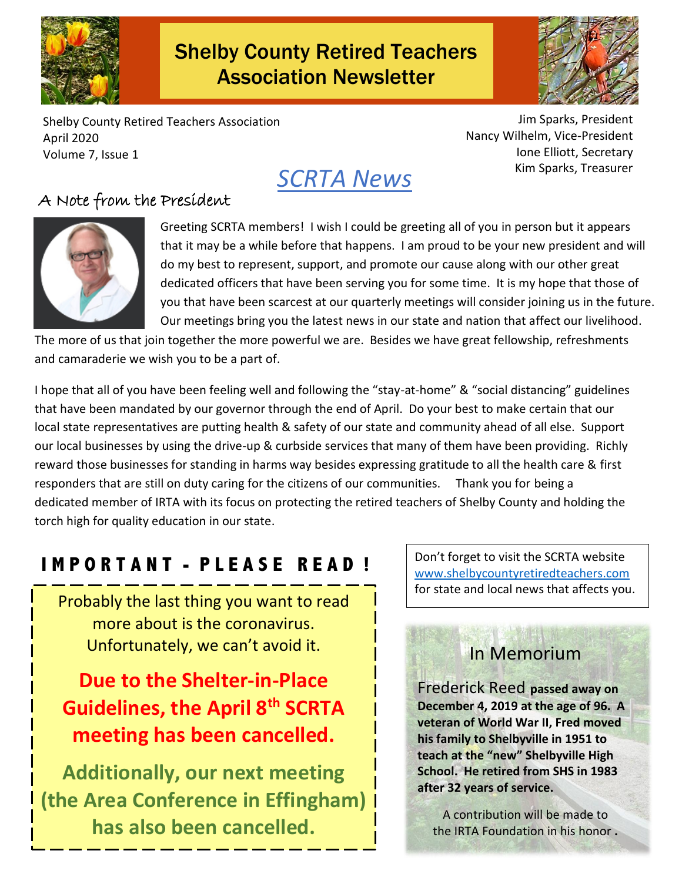

# Shelby County Retired Teachers Association Newsletter



Shelby County Retired Teachers Association April 2020 Volume 7, Issue 1

Jim Sparks, President Nancy Wilhelm, Vice-President Ione Elliott, Secretary Kim Sparks, Treasurer



### A Note from the President



Greeting SCRTA members! I wish I could be greeting all of you in person but it appears that it may be a while before that happens. I am proud to be your new president and will do my best to represent, support, and promote our cause along with our other great dedicated officers that have been serving you for some time. It is my hope that those of you that have been scarcest at our quarterly meetings will consider joining us in the future. Our meetings bring you the latest news in our state and nation that affect our livelihood.

The more of us that join together the more powerful we are. Besides we have great fellowship, refreshments and camaraderie we wish you to be a part of.

I hope that all of you have been feeling well and following the "stay-at-home" & "social distancing" guidelines that have been mandated by our governor through the end of April. Do your best to make certain that our local state representatives are putting health & safety of our state and community ahead of all else. Support our local businesses by using the drive-up & curbside services that many of them have been providing. Richly reward those businesses for standing in harms way besides expressing gratitude to all the health care & first responders that are still on duty caring for the citizens of our communities. Thank you for being a dedicated member of IRTA with its focus on protecting the retired teachers of Shelby County and holding the torch high for quality education in our state.

# **I M P O R T A N T - P L E A S E R E A D !**

Probably the last thing you want to read more about is the coronavirus. Unfortunately, we can't avoid it.

**Due to the Shelter-in-Place Guidelines, the April 8th SCRTA meeting has been cancelled.**

**Additionally, our next meeting (the Area Conference in Effingham) has also been cancelled.**

Don't forget to visit the SCRTA website [www.shelbycountyretiredteachers.com](http://www.shelbycountyretiredteachers.com/) for state and local news that affects you.

# In Memorium

Frederick Reed **passed away on December 4, 2019 at the age of 96. A veteran of World War II, Fred moved his family to Shelbyville in 1951 to teach at the "new" Shelbyville High School. He retired from SHS in 1983 after 32 years of service.**

A contribution will be made to the IRTA Foundation in his honor **.**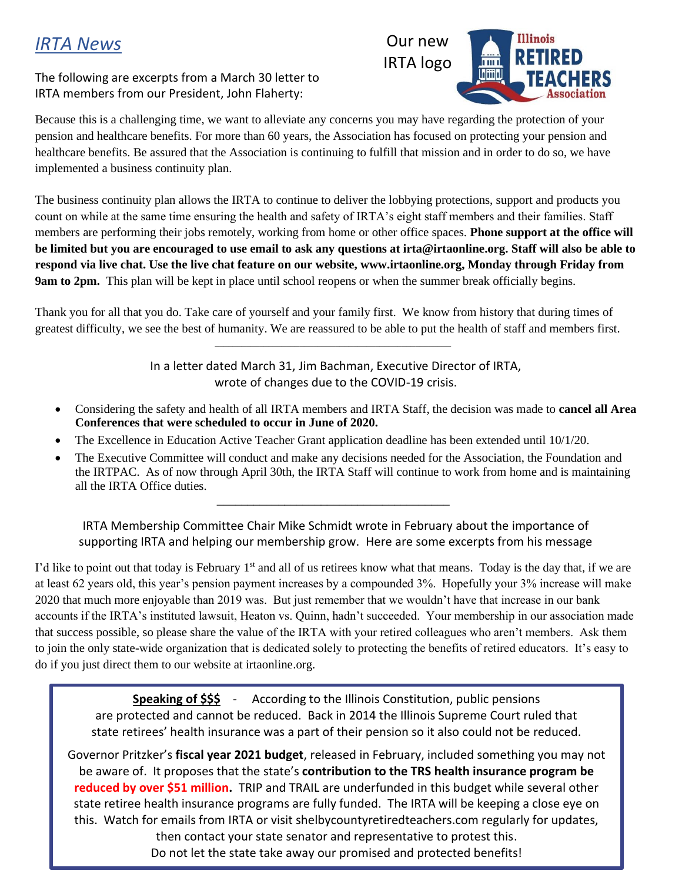## *IRTA News*

#### The following are excerpts from a March 30 letter to IRTA members from our President, John Flaherty:



Because this is a challenging time, we want to alleviate any concerns you may have regarding the protection of your pension and healthcare benefits. For more than 60 years, the Association has focused on protecting your pension and healthcare benefits. Be assured that the Association is continuing to fulfill that mission and in order to do so, we have implemented a business continuity plan.

The business continuity plan allows the IRTA to continue to deliver the lobbying protections, support and products you count on while at the same time ensuring the health and safety of IRTA's eight staff members and their families. Staff members are performing their jobs remotely, working from home or other office spaces. **Phone support at the office will be limited but you are encouraged to use email to ask any questions at irta@irtaonline.org. Staff will also be able to respond via live chat. Use the live chat feature on our website, www.irtaonline.org, Monday through Friday from 9am to 2pm.** This plan will be kept in place until school reopens or when the summer break officially begins.

Thank you for all that you do. Take care of yourself and your family first. We know from history that during times of greatest difficulty, we see the best of humanity. We are reassured to be able to put the health of staff and members first.

 $\mathcal{L}=\mathcal{L}=\mathcal{L}=\mathcal{L}=\mathcal{L}=\mathcal{L}=\mathcal{L}=\mathcal{L}=\mathcal{L}=\mathcal{L}=\mathcal{L}=\mathcal{L}=\mathcal{L}=\mathcal{L}=\mathcal{L}=\mathcal{L}=\mathcal{L}=\mathcal{L}=\mathcal{L}=\mathcal{L}=\mathcal{L}=\mathcal{L}=\mathcal{L}=\mathcal{L}=\mathcal{L}=\mathcal{L}=\mathcal{L}=\mathcal{L}=\mathcal{L}=\mathcal{L}=\mathcal{L}=\mathcal{L}=\mathcal{L}=\mathcal{L}=\mathcal{L}=\mathcal{L}=\mathcal{$ 

In a letter dated March 31, Jim Bachman, Executive Director of IRTA, wrote of changes due to the COVID-19 crisis.

- Considering the safety and health of all IRTA members and IRTA Staff, the decision was made to **cancel all Area Conferences that were scheduled to occur in June of 2020.**
- The Excellence in Education Active Teacher Grant application deadline has been extended until 10/1/20.

 $\overline{\phantom{a}}$  , and the set of the set of the set of the set of the set of the set of the set of the set of the set of the set of the set of the set of the set of the set of the set of the set of the set of the set of the s

The Executive Committee will conduct and make any decisions needed for the Association, the Foundation and the IRTPAC. As of now through April 30th, the IRTA Staff will continue to work from home and is maintaining all the IRTA Office duties.

IRTA Membership Committee Chair Mike Schmidt wrote in February about the importance of supporting IRTA and helping our membership grow. Here are some excerpts from his message

I'd like to point out that today is February  $1<sup>st</sup>$  and all of us retirees know what that means. Today is the day that, if we are at least 62 years old, this year's pension payment increases by a compounded 3%. Hopefully your 3% increase will make 2020 that much more enjoyable than 2019 was. But just remember that we wouldn't have that increase in our bank accounts if the IRTA's instituted lawsuit, Heaton vs. Quinn, hadn't succeeded. Your membership in our association made that success possible, so please share the value of the IRTA with your retired colleagues who aren't members. Ask them to join the only state-wide organization that is dedicated solely to protecting the benefits of retired educators. It's easy to do if you just direct them to our website at irtaonline.org.

**Speaking of \$\$\$** - According to the Illinois Constitution, public pensions are protected and cannot be reduced. Back in 2014 the Illinois Supreme Court ruled that state retirees' health insurance was a part of their pension so it also could not be reduced.

Governor Pritzker's **fiscal year 2021 budget**, released in February, included something you may not be aware of. It proposes that the state's **contribution to the TRS health insurance program be reduced by over \$51 million.** TRIP and TRAIL are underfunded in this budget while several other state retiree health insurance programs are fully funded. The IRTA will be keeping a close eye on this. Watch for emails from IRTA or visit shelbycountyretiredteachers.com regularly for updates, then contact your state senator and representative to protest this. Do not let the state take away our promised and protected benefits!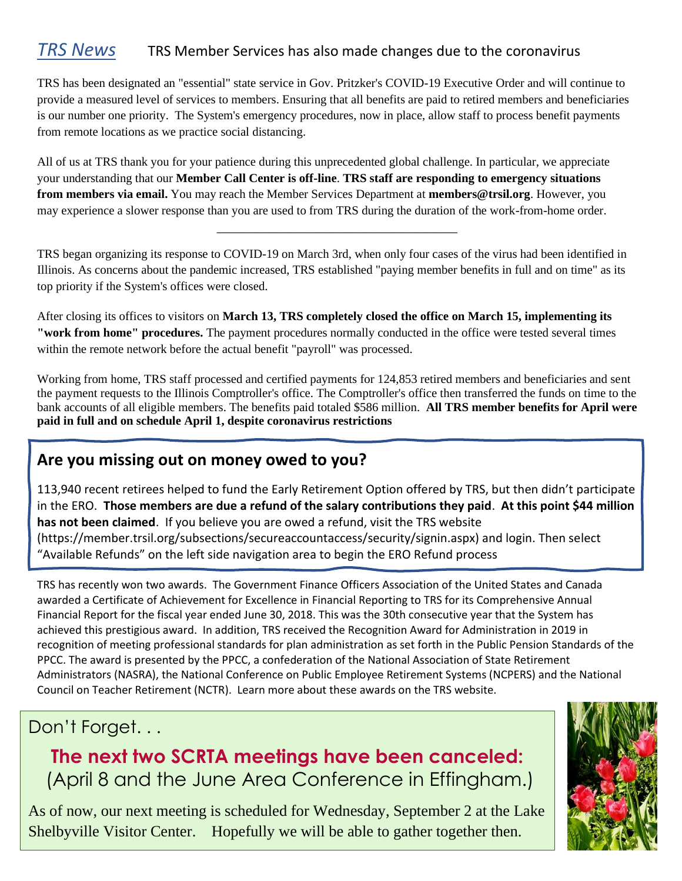### *TRS News* TRS Member Services has also made changes due to the coronavirus

TRS has been designated an "essential" state service in Gov. Pritzker's COVID-19 Executive Order and will continue to provide a measured level of services to members. Ensuring that all benefits are paid to retired members and beneficiaries is our number one priority. The System's emergency procedures, now in place, allow staff to process benefit payments from remote locations as we practice social distancing.

All of us at TRS thank you for your patience during this unprecedented global challenge. In particular, we appreciate your understanding that our **Member Call Center is off-line**. **TRS staff are responding to emergency situations from members via email.** You may reach the Member Services Department at **members@trsil.org**. However, you may experience a slower response than you are used to from TRS during the duration of the work-from-home order.

TRS began organizing its response to COVID-19 on March 3rd, when only four cases of the virus had been identified in Illinois. As concerns about the pandemic increased, TRS established "paying member benefits in full and on time" as its top priority if the System's offices were closed.

\_\_\_\_\_\_\_\_\_\_\_\_\_\_\_\_\_\_\_\_\_\_\_\_\_\_\_\_\_\_\_\_\_\_\_\_

After closing its offices to visitors on **March 13, TRS completely closed the office on March 15, implementing its "work from home" procedures.** The payment procedures normally conducted in the office were tested several times within the remote network before the actual benefit "payroll" was processed.

Working from home, TRS staff processed and certified payments for 124,853 retired members and beneficiaries and sent the payment requests to the Illinois Comptroller's office. The Comptroller's office then transferred the funds on time to the bank accounts of all eligible members. The benefits paid totaled \$586 million. **All TRS member benefits for April were paid in full and on schedule April 1, despite coronavirus restrictions**

### **Are you missing out on money owed to you?**

113,940 recent retirees helped to fund the Early Retirement Option offered by TRS, but then didn't participate in the ERO. **Those members are due a refund of the salary contributions they paid**. **At this point \$44 million has not been claimed**. If you believe you are owed a refund, visit the TRS website (https://member.trsil.org/subsections/secureaccountaccess/security/signin.aspx) and login. Then select "Available Refunds" on the left side navigation area to begin the ERO Refund process

TRS has recently won two awards. The Government Finance Officers Association of the United States and Canada awarded a Certificate of Achievement for Excellence in Financial Reporting to TRS for its Comprehensive Annual Financial Report for the fiscal year ended June 30, 2018. This was the 30th consecutive year that the System has achieved this prestigious award. In addition, TRS received the Recognition Award for Administration in 2019 in recognition of meeting professional standards for plan administration as set forth in the Public Pension Standards of the PPCC. The award is presented by the PPCC, a confederation of the National Association of State Retirement Administrators (NASRA), the National Conference on Public Employee Retirement Systems (NCPERS) and the National Council on Teacher Retirement (NCTR). Learn more about these awards on the TRS website.

### Don't Forget...

**The next two SCRTA meetings have been canceled:** (April 8 and the June Area Conference in Effingham.)

As of now, our next meeting is scheduled for Wednesday, September 2 at the Lake Shelbyville Visitor Center. Hopefully we will be able to gather together then.

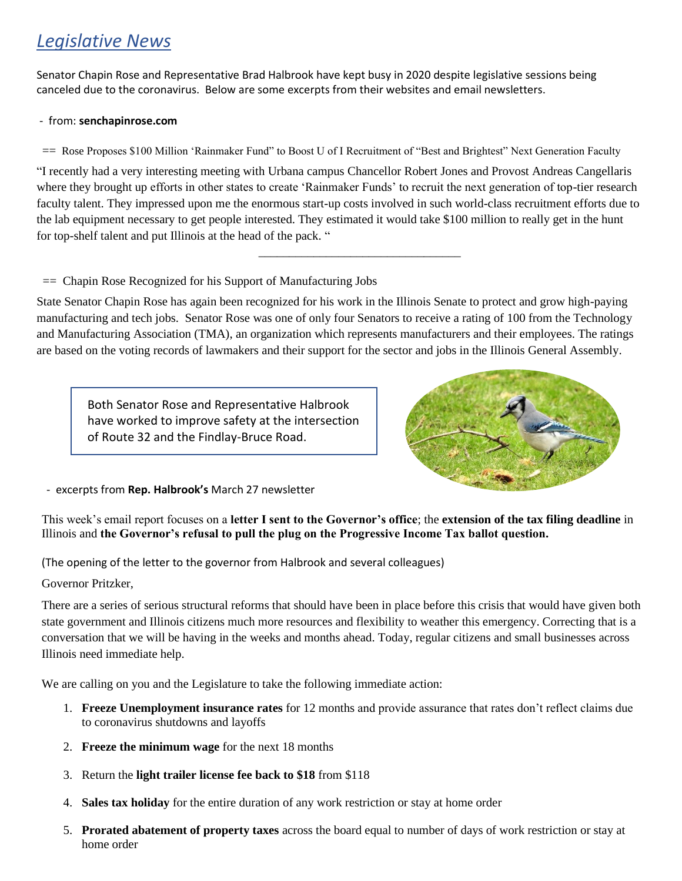# *Legislative News*

Senator Chapin Rose and Representative Brad Halbrook have kept busy in 2020 despite legislative sessions being canceled due to the coronavirus. Below are some excerpts from their websites and email newsletters.

#### - from: **senchapinrose.com**

== Rose Proposes \$100 Million 'Rainmaker Fund" to Boost U of I Recruitment of "Best and Brightest" Next Generation Faculty

"I recently had a very interesting meeting with Urbana campus Chancellor Robert Jones and Provost Andreas Cangellaris where they brought up efforts in other states to create 'Rainmaker Funds' to recruit the next generation of top-tier research faculty talent. They impressed upon me the enormous start-up costs involved in such world-class recruitment efforts due to the lab equipment necessary to get people interested. They estimated it would take \$100 million to really get in the hunt for top-shelf talent and put Illinois at the head of the pack. "

 $\overline{\phantom{a}}$  ,  $\overline{\phantom{a}}$  ,  $\overline{\phantom{a}}$  ,  $\overline{\phantom{a}}$  ,  $\overline{\phantom{a}}$  ,  $\overline{\phantom{a}}$  ,  $\overline{\phantom{a}}$  ,  $\overline{\phantom{a}}$  ,  $\overline{\phantom{a}}$  ,  $\overline{\phantom{a}}$  ,  $\overline{\phantom{a}}$  ,  $\overline{\phantom{a}}$  ,  $\overline{\phantom{a}}$  ,  $\overline{\phantom{a}}$  ,  $\overline{\phantom{a}}$  ,  $\overline{\phantom{a}}$ 

#### == Chapin Rose Recognized for his Support of Manufacturing Jobs

State Senator Chapin Rose has again been recognized for his work in the Illinois Senate to protect and grow high-paying manufacturing and tech jobs. Senator Rose was one of only four Senators to receive a rating of 100 from the Technology and Manufacturing Association (TMA), an organization which represents manufacturers and their employees. The ratings are based on the voting records of lawmakers and their support for the sector and jobs in the Illinois General Assembly.

Both Senator Rose and Representative Halbrook have worked to improve safety at the intersection of Route 32 and the Findlay-Bruce Road.



- excerpts from **Rep. Halbrook's** March 27 newsletter

This week's email report focuses on a **letter I sent to the Governor's office**; the **extension of the tax filing deadline** in Illinois and **the Governor's refusal to pull the plug on the Progressive Income Tax ballot question.** 

(The opening of the letter to the governor from Halbrook and several colleagues)

Governor Pritzker,

There are a series of serious structural reforms that should have been in place before this crisis that would have given both state government and Illinois citizens much more resources and flexibility to weather this emergency. Correcting that is a conversation that we will be having in the weeks and months ahead. Today, regular citizens and small businesses across Illinois need immediate help.

We are calling on you and the Legislature to take the following immediate action:

- 1. **Freeze Unemployment insurance rates** for 12 months and provide assurance that rates don't reflect claims due to coronavirus shutdowns and layoffs
- 2. **Freeze the minimum wage** for the next 18 months
- 3. Return the **light trailer license fee back to \$18** from \$118
- 4. **Sales tax holiday** for the entire duration of any work restriction or stay at home order
- 5. **Prorated abatement of property taxes** across the board equal to number of days of work restriction or stay at home order